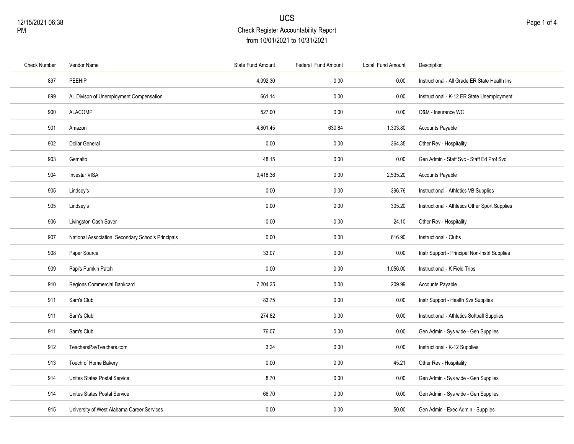| <b>Check Number</b> | Vendor Name                                       | <b>State Fund Amount</b> | Federal Fund Amount | Local Fund Amount | Description                                    |
|---------------------|---------------------------------------------------|--------------------------|---------------------|-------------------|------------------------------------------------|
| 897                 | PEEHIP                                            | 4,092.30                 | 0.00                | 0.00              | Instructional - All Grade ER State Health Ins  |
| 899                 | AL Divison of Unemployment Compensation           | 661.14                   | 0.00                | 0.00              | Instructional - K-12 ER State Unemployment     |
| 900                 | <b>ALACOMP</b>                                    | 527.00                   | 0.00                | 0.00              | O&M - Insurance WC                             |
| 901                 | Amazon                                            | 4,801.45                 | 630.84              | 1,303.80          | <b>Accounts Payable</b>                        |
| 902                 | <b>Dollar General</b>                             | 0.00                     | 0.00                | 364.35            | Other Rev - Hospitality                        |
| 903                 | Gemalto                                           | 48.15                    | 0.00                | 0.00              | Gen Admin - Staff Svc - Staff Ed Prof Svc      |
| 904                 | Investar VISA                                     | 9,418.36                 | 0.00                | 2,535.20          | <b>Accounts Payable</b>                        |
| 905                 | Lindsey's                                         | 0.00                     | 0.00                | 396.76            | Instructional - Athletics VB Supplies          |
| 905                 | Lindsey's                                         | 0.00                     | 0.00                | 305.20            | Instructional - Athletics Other Sport Supplies |
| 906                 | Livingston Cash Saver                             | 0.00                     | 0.00                | 24.10             | Other Rev - Hospitality                        |
| 907                 | National Association Secondary Schools Principals | 0.00                     | 0.00                | 616.90            | Instructional - Clubs                          |
| 908                 | Paper Source                                      | 33.07                    | 0.00                | 0.00              | Instr Support - Principal Non-Instrl Supplies  |
| 909                 | Papi's Pumkin Patch                               | 0.00                     | 0.00                | 1,056.00          | Instructional - K Field Trips                  |
| 910                 | Regions Commercial Bankcard                       | 7,204.25                 | 0.00                | 209.99            | <b>Accounts Payable</b>                        |
| 911                 | Sam's Club                                        | 83.75                    | 0.00                | 0.00              | Instr Support - Health Svs Supplies            |
| 911                 | Sam's Club                                        | 274.82                   | 0.00                | 0.00              | Instructional - Athletics Softball Supplies    |
| 911                 | Sam's Club                                        | 76.07                    | 0.00                | 0.00              | Gen Admin - Sys wide - Gen Supplies            |
| 912                 | TeachersPayTeachers.com                           | 3.24                     | 0.00                | 0.00              | Instructional - K-12 Supplies                  |
| 913                 | Touch of Home Bakery                              | 0.00                     | 0.00                | 45.21             | Other Rev - Hospitality                        |
| 914                 | Unites States Postal Service                      | 8.70                     | 0.00                | 0.00              | Gen Admin - Sys wide - Gen Supplies            |
| 914                 | Unites States Postal Service                      | 66.70                    | 0.00                | 0.00              | Gen Admin - Sys wide - Gen Supplies            |
| 915                 | University of West Alabama Career Services        | 0.00                     | 0.00                | 50.00             | Gen Admin - Exec Admin - Supplies              |
|                     |                                                   |                          |                     |                   |                                                |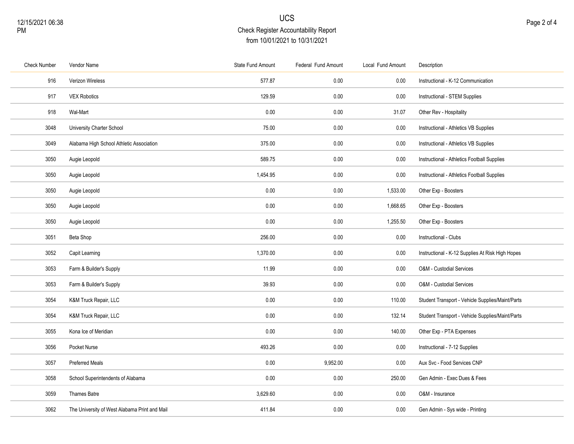| <b>Check Number</b> | Vendor Name                                   | State Fund Amount | Federal Fund Amount | Local Fund Amount | Description                                      |
|---------------------|-----------------------------------------------|-------------------|---------------------|-------------------|--------------------------------------------------|
| 916                 | Verizon Wireless                              | 577.87            | 0.00                | 0.00              | Instructional - K-12 Communication               |
| 917                 | <b>VEX Robotics</b>                           | 129.59            | 0.00                | 0.00              | Instructional - STEM Supplies                    |
| 918                 | Wal-Mart                                      | 0.00              | 0.00                | 31.07             | Other Rev - Hospitality                          |
| 3048                | University Charter School                     | 75.00             | 0.00                | 0.00              | Instructional - Athletics VB Supplies            |
| 3049                | Alabama High School Athletic Association      | 375.00            | $0.00\,$            | 0.00              | Instructional - Athletics VB Supplies            |
| 3050                | Augie Leopold                                 | 589.75            | 0.00                | 0.00              | Instructional - Athletics Football Supplies      |
| 3050                | Augie Leopold                                 | 1,454.95          | 0.00                | 0.00              | Instructional - Athletics Football Supplies      |
| 3050                | Augie Leopold                                 | 0.00              | 0.00                | 1,533.00          | Other Exp - Boosters                             |
| 3050                | Augie Leopold                                 | 0.00              | 0.00                | 1,668.65          | Other Exp - Boosters                             |
| 3050                | Augie Leopold                                 | 0.00              | 0.00                | 1,255.50          | Other Exp - Boosters                             |
| 3051                | Beta Shop                                     | 256.00            | 0.00                | 0.00              | Instructional - Clubs                            |
| 3052                | Capit Learning                                | 1,370.00          | 0.00                | 0.00              | Instructional - K-12 Supplies At Risk High Hopes |
| 3053                | Farm & Builder's Supply                       | 11.99             | 0.00                | 0.00              | O&M - Custodial Services                         |
| 3053                | Farm & Builder's Supply                       | 39.93             | 0.00                | 0.00              | O&M - Custodial Services                         |
| 3054                | K&M Truck Repair, LLC                         | 0.00              | 0.00                | 110.00            | Student Transport - Vehicle Supplies/Maint/Parts |
| 3054                | K&M Truck Repair, LLC                         | 0.00              | $0.00\,$            | 132.14            | Student Transport - Vehicle Supplies/Maint/Parts |
| 3055                | Kona Ice of Meridian                          | 0.00              | 0.00                | 140.00            | Other Exp - PTA Expenses                         |
| 3056                | Pocket Nurse                                  | 493.26            | 0.00                | 0.00              | Instructional - 7-12 Supplies                    |
| 3057                | <b>Preferred Meals</b>                        | 0.00              | 9,952.00            | 0.00              | Aux Svc - Food Services CNP                      |
| 3058                | School Superintendents of Alabama             | 0.00              | 0.00                | 250.00            | Gen Admin - Exec Dues & Fees                     |
| 3059                | Thames Batre                                  | 3,629.60          | 0.00                | 0.00              | O&M - Insurance                                  |
| 3062                | The University of West Alabama Print and Mail | 411.84            | 0.00                | 0.00              | Gen Admin - Sys wide - Printing                  |
|                     |                                               |                   |                     |                   |                                                  |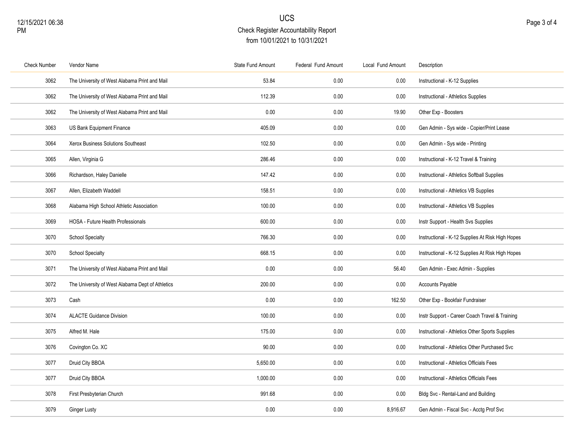| <b>Check Number</b> | Vendor Name                                      | State Fund Amount | Federal Fund Amount | Local Fund Amount | Description                                      |
|---------------------|--------------------------------------------------|-------------------|---------------------|-------------------|--------------------------------------------------|
| 3062                | The University of West Alabama Print and Mail    | 53.84             | 0.00                | 0.00              | Instructional - K-12 Supplies                    |
| 3062                | The University of West Alabama Print and Mail    | 112.39            | 0.00                | 0.00              | Instructional - Athletics Supplies               |
| 3062                | The University of West Alabama Print and Mail    | 0.00              | 0.00                | 19.90             | Other Exp - Boosters                             |
| 3063                | US Bank Equipment Finance                        | 405.09            | 0.00                | 0.00              | Gen Admin - Sys wide - Copier/Print Lease        |
| 3064                | Xerox Business Solutions Southeast               | 102.50            | 0.00                | 0.00              | Gen Admin - Sys wide - Printing                  |
| 3065                | Allen, Virginia G                                | 286.46            | 0.00                | 0.00              | Instructional - K-12 Travel & Training           |
| 3066                | Richardson, Haley Danielle                       | 147.42            | 0.00                | 0.00              | Instructional - Athletics Softball Supplies      |
| 3067                | Allen, Elizabeth Waddell                         | 158.51            | 0.00                | 0.00              | Instructional - Athletics VB Supplies            |
| 3068                | Alabama High School Athletic Association         | 100.00            | 0.00                | 0.00              | Instructional - Athletics VB Supplies            |
| 3069                | HOSA - Future Health Professionals               | 600.00            | 0.00                | 0.00              | Instr Support - Health Svs Supplies              |
| 3070                | <b>School Specialty</b>                          | 766.30            | 0.00                | 0.00              | Instructional - K-12 Supplies At Risk High Hopes |
| 3070                | <b>School Specialty</b>                          | 668.15            | 0.00                | 0.00              | Instructional - K-12 Supplies At Risk High Hopes |
| 3071                | The University of West Alabama Print and Mail    | 0.00              | 0.00                | 56.40             | Gen Admin - Exec Admin - Supplies                |
| 3072                | The University of West Alabama Dept of Athletics | 200.00            | 0.00                | 0.00              | Accounts Payable                                 |
| 3073                | Cash                                             | 0.00              | 0.00                | 162.50            | Other Exp - Bookfair Fundraiser                  |
| 3074                | <b>ALACTE Guidance Division</b>                  | 100.00            | 0.00                | 0.00              | Instr Support - Career Coach Travel & Training   |
| 3075                | Alfred M. Hale                                   | 175.00            | 0.00                | 0.00              | Instructional - Athletics Other Sports Supplies  |
| 3076                | Covington Co. XC                                 | 90.00             | 0.00                | 0.00              | Instructional - Athletics Other Purchased Svc    |
| 3077                | Druid City BBOA                                  | 5,650.00          | 0.00                | 0.00              | Instructional - Athletics Officials Fees         |
| 3077                | Druid City BBOA                                  | 1,000.00          | 0.00                | 0.00              | Instructional - Athletics Officials Fees         |
| 3078                | First Presbyterian Church                        | 991.68            | 0.00                | 0.00              | Bldg Svc - Rental-Land and Building              |
| 3079                | Ginger Lusty                                     | 0.00              | 0.00                | 8.916.67          | Gen Admin - Fiscal Svc - Acctg Prof Svc          |
|                     |                                                  |                   |                     |                   |                                                  |